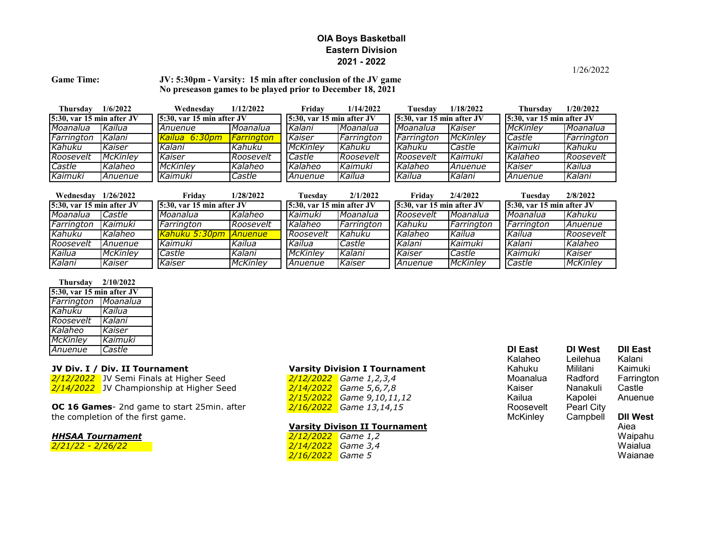## **OIA Boys Basketball Eastern Division 2021 - 2022**

### Game Time: **JV: 5:30pm - Varsity: 15 min after conclusion of the JV game No preseason games to be played prior to December 18, 2021**

| Thursday                      | 1/6/2022        | Wednesday                     | 1/12/2022                | Fridav                        | 1/14/2022  | Tuesdav                      | 1/18/2022                    | Thursdav                      | 1/20/2022                 |  |
|-------------------------------|-----------------|-------------------------------|--------------------------|-------------------------------|------------|------------------------------|------------------------------|-------------------------------|---------------------------|--|
| $15:30$ , var 15 min after JV |                 | $15:30$ , var 15 min after JV |                          | $15:30$ , var 15 min after JV |            | $5:30$ , var 15 min after JV |                              | $15:30$ , var 15 min after JV |                           |  |
| Moanalua                      | Kailua          | Anuenue                       | Moanalua                 | Kalani                        | Moanalua   | Moanalua                     | Kaiser                       | <b>McKinley</b>               | Moanalua                  |  |
| Farrington                    | Kalani          | Kailua 6:30pm                 | <i><b>Farrington</b></i> | Kaiser                        | Farrington | Farrington                   | <b>McKinley</b>              | Castle                        | Farrington                |  |
| Kahuku                        | Kaiser          | Kalani                        | Kahuku                   | <b>McKinley</b>               | Kahuku     | Kahuku                       | Castle                       | Kaimuki                       | Kahuku                    |  |
| Roosevelt                     | McKinley        | Kaiser                        | Roosevelt                | Castle                        | Roosevelt  | Roosevelt                    | Kaimuki                      | Kalaheo                       | Roosevelt                 |  |
| <b>Castle</b>                 | Kalaheo         | <b>McKinley</b>               | Kalaheo                  | Kalaheo                       | Kaimuki    | Kalaheo                      | Anuenue                      | Kaiser                        | Kailua                    |  |
| Kaimuki                       | Anuenue         | Kaimuki                       | Castle                   | Anuenue                       | Kailua     | Kailua                       | Kalani                       | Anuenue                       | Kalani                    |  |
|                               |                 |                               |                          |                               |            |                              |                              |                               |                           |  |
| Wednesday $1/26/2022$         |                 | Fridav                        | 1/28/2022                | Tuesdav                       | 2/1/2022   | Fridav                       | 2/4/2022                     | Tuesdav                       | 2/8/2022                  |  |
| $15:30$ , var 15 min after JV |                 | $15:30$ , var 15 min after JV |                          | $15:30$ , var 15 min after JV |            |                              | $5:30$ , var 15 min after JV |                               | 5:30, var 15 min after JV |  |
| Moanalua                      | Castle          | Moanalua                      | Kalaheo                  | Kaimuki                       | Moanalua   | Roosevelt                    | Moanalua                     | Moanalua                      | Kahuku                    |  |
| Farrington                    | Kaimuki         | Farrington                    | Roosevelt                | Kalaheo                       | Farrington | Kahuku                       | Farrington                   | Farrington                    | Anuenue                   |  |
| Kahuku                        | Kalaheo         | Kahuku 5:30pm                 | <b>Anuenue</b>           | Roosevelt                     | Kahuku     | Kalaheo                      | Kailua                       | Kailua                        | Roosevelt                 |  |
| Roosevelt                     | Anuenue         | Kaimuki                       | Kailua                   | Kailua                        | Castle     | Kalani                       | Kaimuki                      | Kalani                        | Kalaheo                   |  |
| Kailua                        | <b>McKinley</b> | Castle                        | Kalani                   | <b>McKinley</b>               | Kalani     | Kaiser                       | Castle                       | Kaimuki                       | Kaiser                    |  |
| Kalani                        | Kaiser          | Kaiser                        | <b>McKinley</b>          | Anuenue                       | Kaiser     | Anuenue                      | <b>McKinley</b>              | Castle                        | <b>McKinley</b>           |  |

### **Thursday 2/10/2022**

| $5:30$ , var 15 min after JV |          |  |  |  |  |
|------------------------------|----------|--|--|--|--|
| Farrington                   | Moanalua |  |  |  |  |
| Kahuku                       | Kailua   |  |  |  |  |
| Roosevelt                    | Kalani   |  |  |  |  |
| Kalaheo                      | Kaiser   |  |  |  |  |
| <b>McKinley</b>              | Kaimuki  |  |  |  |  |
| Anuenue                      | Castle   |  |  |  |  |

| <b>HHSAA Tournament</b> |
|-------------------------|
|-------------------------|

| 2/12/2022 Game 1,2,3,4    |
|---------------------------|
| 2/14/2022 Game 5,6,7,8    |
| 2/15/2022 Game 9,10,11,12 |
| 2/16/2022 Game 13,14,15   |

# **Varsity Divison II Tournament**<br> **2/12/2022** Game 1,2

| <b>HHSAA Tournament</b>    | 2/12/2022 Game 1,2 | Waipahu |
|----------------------------|--------------------|---------|
| <u> 2/21/22 - 2/26/22 </u> | 2/14/2022 Game 3,4 | Waialua |
|                            | 2/16/2022 Game 5   | Waianae |

| Anuenue                           | Castle                                      |                                      | DI East   | DI West           | <b>DII East</b> |
|-----------------------------------|---------------------------------------------|--------------------------------------|-----------|-------------------|-----------------|
|                                   |                                             |                                      | Kalaheo   | Leilehua          | Kalani          |
|                                   | JV Div. I / Div. II Tournament              | <b>Varsity Division I Tournament</b> | Kahuku    | Mililani          | Kaimuki         |
|                                   | 2/12/2022 JV Semi Finals at Higher Seed     | $2/12/2022$ Game 1,2,3,4             | Moanalua  | Radford           | Farringto       |
|                                   | 2/14/2022 JV Championship at Higher Seed    | $2/14/2022$ Game 5,6,7,8             | Kaiser    | Nanakuli          | Castle          |
|                                   |                                             | 2/15/2022 Game 9,10,11,12            | Kailua    | Kapolei           | Anuenue         |
|                                   | OC 16 Games- 2nd game to start 25min. after | 2/16/2022 Game 13,14,15              | Roosevelt | <b>Pearl City</b> |                 |
| the completion of the first game. |                                             |                                      | McKinley  | Campbell          | <b>DII West</b> |
|                                   |                                             | Varsity Divison II Tournament        |           |                   | Aiea            |

1/26/2022